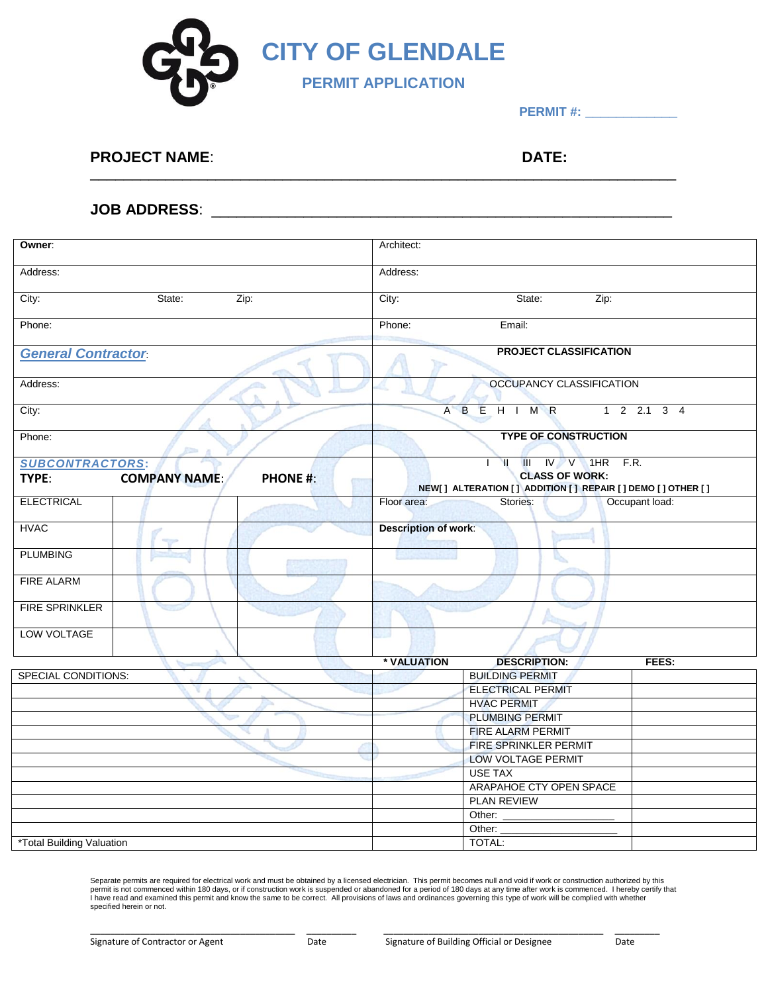

**PERMIT #: \_\_\_\_\_\_\_\_\_\_\_\_**

## **PROJECT NAME**: **DATE:**

\_\_\_\_\_\_\_\_\_\_\_\_\_\_\_\_\_\_\_\_\_\_\_\_\_\_\_\_\_\_\_\_\_\_\_\_\_\_\_\_\_\_\_\_\_\_\_\_\_\_\_\_\_\_\_\_\_\_\_\_\_\_\_\_\_\_\_\_\_\_

## **JOB ADDRESS**: \_\_\_\_\_\_\_\_\_\_\_\_\_\_\_\_\_\_\_\_\_\_\_\_\_\_\_\_\_\_\_\_\_\_\_\_\_\_\_\_\_\_\_\_\_\_\_\_\_\_\_\_\_\_\_

| Owner:                     |                         |                 | Architect:                                                                          |                              |       |  |
|----------------------------|-------------------------|-----------------|-------------------------------------------------------------------------------------|------------------------------|-------|--|
| Address:                   |                         |                 | Address:                                                                            |                              |       |  |
|                            |                         |                 |                                                                                     |                              |       |  |
| State:<br>Zip:<br>City:    |                         |                 | City:<br>State:<br>Zip:                                                             |                              |       |  |
| Phone:                     |                         |                 | Phone:<br>Email:                                                                    |                              |       |  |
| <b>General Contractor</b>  |                         |                 | <b>PROJECT CLASSIFICATION</b>                                                       |                              |       |  |
|                            |                         |                 |                                                                                     |                              |       |  |
| Address:                   |                         |                 | OCCUPANCY CLASSIFICATION                                                            |                              |       |  |
| City:                      |                         |                 | A B E H I M R<br>$1 \t2 \t2.1 \t3 \t4$                                              |                              |       |  |
| Phone:<br><b>Read of</b>   |                         |                 | <b>TYPE OF CONSTRUCTION</b>                                                         |                              |       |  |
| <b>SUBCONTRACTORS:</b>     |                         |                 | $III$ IV V 1HR F.R.<br>Y                                                            |                              |       |  |
| TYPE:                      | <b>COMPANY NAME:</b>    | <b>PHONE #:</b> | <b>CLASS OF WORK:</b><br>NEW[] ALTERATION [] ADDITION [] REPAIR [] DEMO [] OTHER [] |                              |       |  |
| <b>ELECTRICAL</b>          |                         |                 | Floor area:<br>Occupant load:<br>Stories:                                           |                              |       |  |
| <b>HVAC</b>                | $\overline{\mathbf{Y}}$ |                 | <b>Description of work:</b>                                                         |                              |       |  |
| <b>PLUMBING</b>            |                         |                 |                                                                                     |                              |       |  |
| <b>FIRE ALARM</b>          |                         |                 |                                                                                     |                              |       |  |
| <b>FIRE SPRINKLER</b>      |                         |                 |                                                                                     |                              |       |  |
| LOW VOLTAGE                |                         |                 | ю                                                                                   |                              |       |  |
|                            |                         |                 | * VALUATION                                                                         | <b>DESCRIPTION:</b>          | FEES: |  |
| <b>SPECIAL CONDITIONS:</b> |                         |                 |                                                                                     | <b>BUILDING PERMIT</b>       |       |  |
|                            |                         |                 |                                                                                     | <b>ELECTRICAL PERMIT</b>     |       |  |
|                            |                         |                 |                                                                                     | <b>HVAC PERMIT</b>           |       |  |
|                            |                         |                 |                                                                                     | <b>PLUMBING PERMIT</b>       |       |  |
|                            |                         |                 |                                                                                     | <b>FIRE ALARM PERMIT</b>     |       |  |
|                            |                         |                 |                                                                                     | <b>FIRE SPRINKLER PERMIT</b> |       |  |
|                            |                         |                 |                                                                                     | <b>LOW VOLTAGE PERMIT</b>    |       |  |
|                            |                         |                 |                                                                                     | <b>USE TAX</b>               |       |  |
|                            |                         |                 |                                                                                     | ARAPAHOE CTY OPEN SPACE      |       |  |
|                            |                         |                 |                                                                                     | <b>PLAN REVIEW</b>           |       |  |
|                            |                         |                 |                                                                                     | Other:                       |       |  |
|                            |                         |                 |                                                                                     | Other:                       |       |  |
| *Total Building Valuation  |                         |                 |                                                                                     | TOTAL:                       |       |  |

Separate permits are required for electrical work and must be obtained by a licensed electrician. This permit becomes null and void if work or construction authorized by this<br>permit is not commenced within 180 days, or if specified herein or not.

\_\_\_\_\_\_\_\_\_\_\_\_\_\_\_\_\_\_\_\_\_\_\_\_\_\_\_\_\_\_\_\_\_\_\_\_\_\_\_\_\_ \_\_\_\_\_\_\_\_\_\_ \_\_\_\_\_\_\_\_\_\_\_\_\_\_\_\_\_\_\_\_\_\_\_\_\_\_\_\_\_\_\_\_\_\_\_\_\_\_\_\_\_\_\_\_ \_\_\_\_\_\_\_\_\_